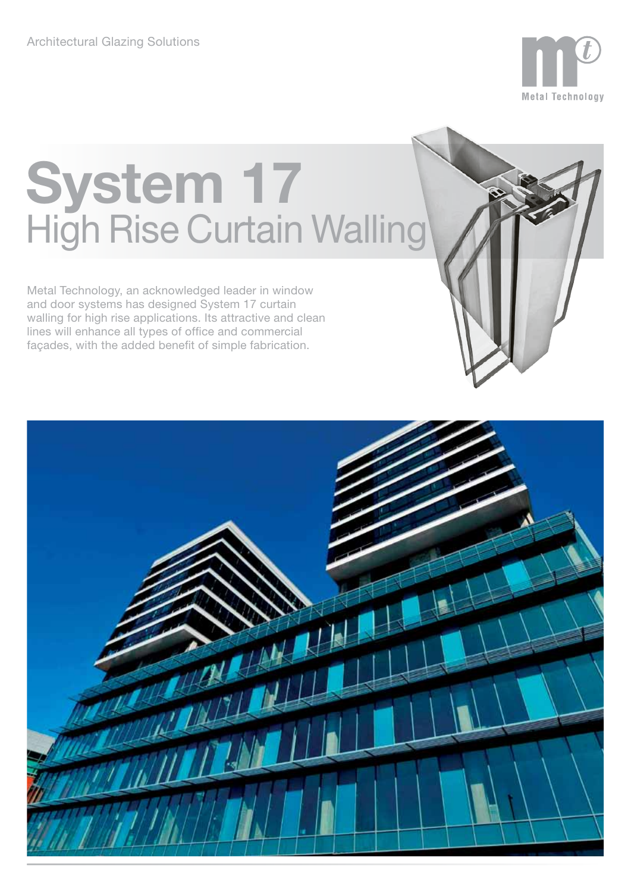

# **System 17** High Rise Curtain Walling

Metal Technology, an acknowledged leader in window and door systems has designed System 17 curtain walling for high rise applications. Its attractive and clean lines will enhance all types of office and commercial façades, with the added benefit of simple fabrication.